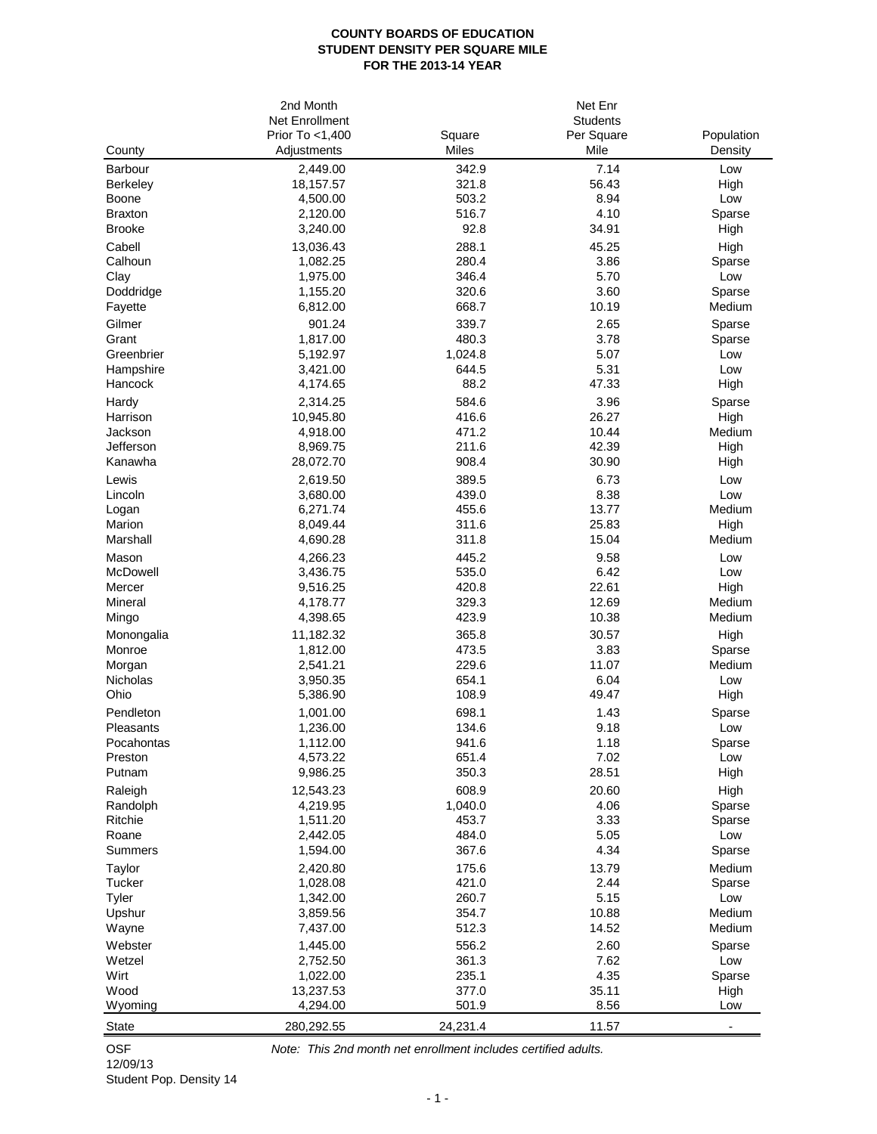## **COUNTY BOARDS OF EDUCATION STUDENT DENSITY PER SQUARE MILE FOR THE 2013-14 YEAR**

|                | 2nd Month       |              | Net Enr         |            |  |
|----------------|-----------------|--------------|-----------------|------------|--|
|                | Net Enrollment  |              | <b>Students</b> |            |  |
|                | Prior To <1,400 | Square       | Per Square      | Population |  |
| County         | Adjustments     | <b>Miles</b> | Mile            | Density    |  |
| <b>Barbour</b> | 2,449.00        | 342.9        | 7.14            | Low        |  |
| Berkeley       | 18,157.57       | 321.8        | 56.43           | High       |  |
| Boone          | 4,500.00        | 503.2        | 8.94            | Low        |  |
| Braxton        | 2,120.00        | 516.7        | 4.10            | Sparse     |  |
| <b>Brooke</b>  | 3,240.00        | 92.8         | 34.91           | High       |  |
| Cabell         | 13,036.43       | 288.1        | 45.25           | High       |  |
| Calhoun        | 1,082.25        | 280.4        | 3.86            | Sparse     |  |
| Clay           | 1,975.00        | 346.4        | 5.70            | Low        |  |
| Doddridge      | 1,155.20        | 320.6        | 3.60            | Sparse     |  |
| Fayette        | 6,812.00        | 668.7        | 10.19           | Medium     |  |
| Gilmer         | 901.24          | 339.7        | 2.65            | Sparse     |  |
| Grant          | 1,817.00        | 480.3        | 3.78            | Sparse     |  |
| Greenbrier     | 5,192.97        | 1,024.8      | 5.07            | Low        |  |
| Hampshire      | 3,421.00        | 644.5        | 5.31            | Low        |  |
| Hancock        | 4,174.65        | 88.2         | 47.33           | High       |  |
| Hardy          | 2,314.25        | 584.6        | 3.96            | Sparse     |  |
| Harrison       | 10,945.80       | 416.6        | 26.27           | High       |  |
| Jackson        | 4,918.00        | 471.2        | 10.44           | Medium     |  |
| Jefferson      | 8,969.75        | 211.6        | 42.39           | High       |  |
| Kanawha        | 28,072.70       | 908.4        | 30.90           | High       |  |
| Lewis          | 2,619.50        | 389.5        | 6.73            | Low        |  |
| Lincoln        | 3,680.00        | 439.0        | 8.38            | Low        |  |
| Logan          | 6,271.74        | 455.6        | 13.77           | Medium     |  |
| Marion         | 8,049.44        | 311.6        | 25.83           | High       |  |
| Marshall       | 4,690.28        | 311.8        | 15.04           | Medium     |  |
| Mason          | 4,266.23        | 445.2        | 9.58            | Low        |  |
| McDowell       | 3,436.75        | 535.0        | 6.42            | Low        |  |
| Mercer         | 9,516.25        | 420.8        | 22.61           | High       |  |
| Mineral        | 4,178.77        | 329.3        | 12.69           | Medium     |  |
| Mingo          | 4,398.65        | 423.9        | 10.38           | Medium     |  |
| Monongalia     | 11,182.32       | 365.8        | 30.57           | High       |  |
| Monroe         | 1,812.00        | 473.5        | 3.83            | Sparse     |  |
| Morgan         | 2,541.21        | 229.6        | 11.07           | Medium     |  |
| Nicholas       | 3,950.35        | 654.1        | 6.04            | Low        |  |
| Ohio           | 5,386.90        | 108.9        | 49.47           | High       |  |
| Pendleton      | 1,001.00        | 698.1        | 1.43            | Sparse     |  |
| Pleasants      | 1,236.00        | 134.6        | 9.18            | Low        |  |
| Pocahontas     | 1,112.00        | 941.6        | 1.18            | Sparse     |  |
| Preston        | 4,573.22        | 651.4        | 7.02            | Low        |  |
| Putnam         | 9,986.25        | 350.3        | 28.51           | High       |  |
| Raleigh        | 12,543.23       | 608.9        | 20.60           | High       |  |
| Randolph       | 4,219.95        | 1,040.0      | 4.06            | Sparse     |  |
| Ritchie        | 1,511.20        | 453.7        | 3.33            | Sparse     |  |
| Roane          | 2,442.05        | 484.0        | 5.05            | Low        |  |
| <b>Summers</b> | 1,594.00        | 367.6        | 4.34            | Sparse     |  |
| Taylor         | 2,420.80        | 175.6        | 13.79           | Medium     |  |
| Tucker         | 1,028.08        | 421.0        | 2.44            | Sparse     |  |
| Tyler          | 1,342.00        | 260.7        | 5.15            | Low        |  |
| Upshur         | 3,859.56        | 354.7        | 10.88           | Medium     |  |
| Wayne          | 7,437.00        | 512.3        | 14.52           | Medium     |  |
| Webster        | 1,445.00        | 556.2        | 2.60            | Sparse     |  |
| Wetzel         | 2,752.50        | 361.3        | 7.62            | Low        |  |
| Wirt           | 1,022.00        | 235.1        | 4.35            | Sparse     |  |
| Wood           | 13,237.53       | 377.0        | 35.11           | High       |  |
| Wyoming        | 4,294.00        | 501.9        | 8.56            | Low        |  |
| <b>State</b>   | 280,292.55      | 24,231.4     | 11.57           |            |  |
|                |                 |              |                 |            |  |

12/09/13 Student Pop. Density 14

OSF *Note: This 2nd month net enrollment includes certified adults.*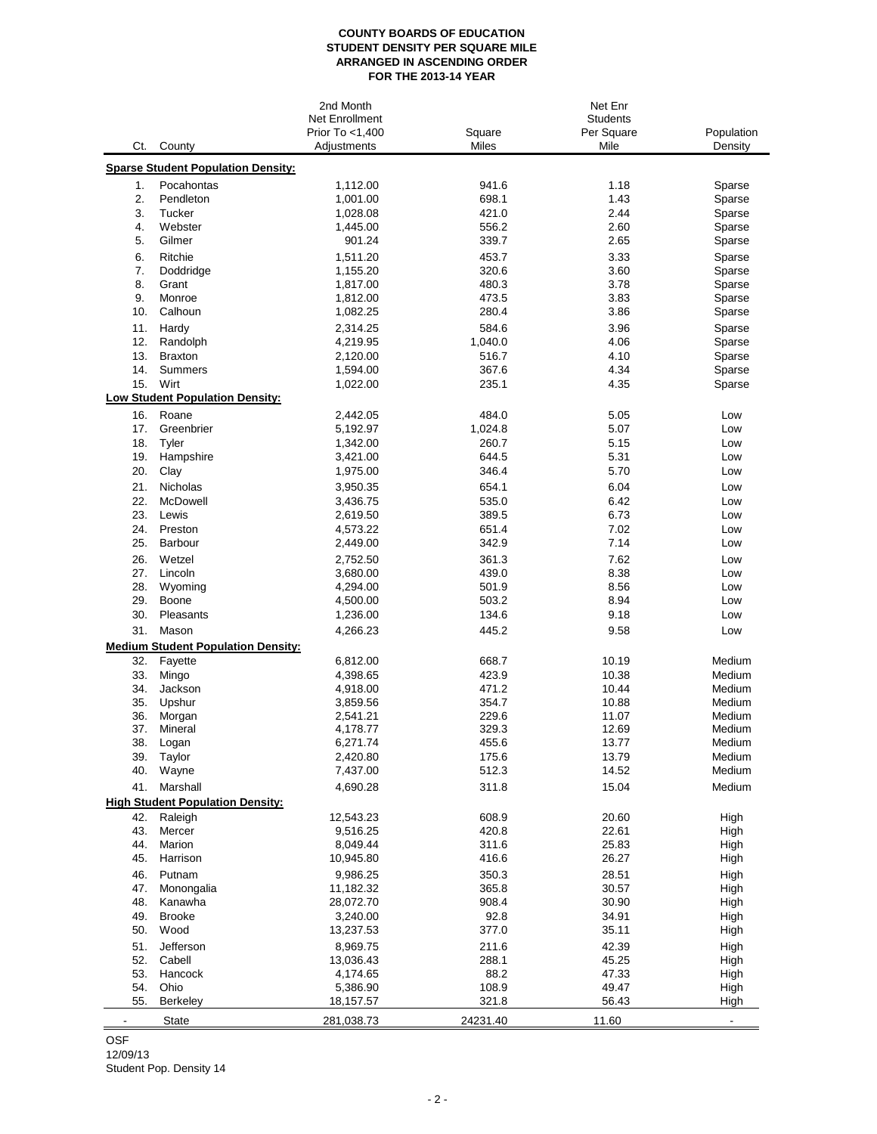## **COUNTY BOARDS OF EDUCATION STUDENT DENSITY PER SQUARE MILE ARRANGED IN ASCENDING ORDER FOR THE 2013-14 YEAR**

|            |                                           | 2nd Month       | Net Enr  |                 |                          |  |
|------------|-------------------------------------------|-----------------|----------|-----------------|--------------------------|--|
|            |                                           | Net Enrollment  |          | <b>Students</b> |                          |  |
|            |                                           | Prior To <1,400 | Square   | Per Square      | Population               |  |
| Ct.        | County                                    | Adjustments     | Miles    | Mile            | Density                  |  |
|            | <b>Sparse Student Population Density:</b> |                 |          |                 |                          |  |
| 1.         | Pocahontas                                | 1,112.00        | 941.6    | 1.18            | Sparse                   |  |
| 2.         | Pendleton                                 | 1,001.00        | 698.1    | 1.43            | Sparse                   |  |
| 3.         | Tucker                                    | 1,028.08        | 421.0    | 2.44            | Sparse                   |  |
| 4.         | Webster                                   | 1,445.00        | 556.2    | 2.60            | Sparse                   |  |
| 5.         | Gilmer                                    | 901.24          | 339.7    | 2.65            | Sparse                   |  |
| 6.         | Ritchie                                   | 1,511.20        | 453.7    | 3.33            | Sparse                   |  |
| 7.         | Doddridge                                 | 1,155.20        | 320.6    | 3.60            | Sparse                   |  |
| 8.         | Grant                                     | 1,817.00        | 480.3    | 3.78            | Sparse                   |  |
| 9.         | Monroe                                    | 1,812.00        | 473.5    | 3.83            | Sparse                   |  |
| 10.        | Calhoun                                   | 1,082.25        | 280.4    | 3.86            | Sparse                   |  |
|            |                                           |                 |          | 3.96            |                          |  |
| 11.        | Hardy                                     | 2,314.25        | 584.6    |                 | Sparse                   |  |
| 12.        | Randolph                                  | 4,219.95        | 1,040.0  | 4.06            | Sparse                   |  |
| 13.<br>14. | <b>Braxton</b>                            | 2,120.00        | 516.7    | 4.10<br>4.34    | Sparse                   |  |
|            | Summers                                   | 1,594.00        | 367.6    |                 | Sparse                   |  |
| 15.        | Wirt                                      | 1,022.00        | 235.1    | 4.35            | Sparse                   |  |
|            | <b>Low Student Population Density:</b>    |                 |          |                 |                          |  |
| 16.        | Roane                                     | 2,442.05        | 484.0    | 5.05            | Low                      |  |
| 17.        | Greenbrier                                | 5,192.97        | 1,024.8  | 5.07            | Low                      |  |
| 18.        | Tyler                                     | 1,342.00        | 260.7    | 5.15            | Low                      |  |
| 19.        | Hampshire                                 | 3,421.00        | 644.5    | 5.31            | Low                      |  |
| 20.        | Clay                                      | 1,975.00        | 346.4    | 5.70            | Low                      |  |
| 21.        | <b>Nicholas</b>                           | 3,950.35        | 654.1    | 6.04            | Low                      |  |
| 22.        | McDowell                                  | 3,436.75        | 535.0    | 6.42            | Low                      |  |
| 23.        | Lewis                                     | 2,619.50        | 389.5    | 6.73            | Low                      |  |
| 24.        | Preston                                   | 4,573.22        | 651.4    | 7.02            | Low                      |  |
| 25.        | Barbour                                   | 2,449.00        | 342.9    | 7.14            | Low                      |  |
| 26.        | Wetzel                                    | 2,752.50        | 361.3    | 7.62            | Low                      |  |
| 27.        | Lincoln                                   | 3,680.00        | 439.0    | 8.38            | Low                      |  |
| 28.        | Wyoming                                   | 4,294.00        | 501.9    | 8.56            | Low                      |  |
| 29.        | Boone                                     | 4,500.00        | 503.2    | 8.94            | Low                      |  |
| 30.        | Pleasants                                 | 1,236.00        | 134.6    | 9.18            | Low                      |  |
| 31.        | Mason                                     | 4,266.23        | 445.2    | 9.58            | Low                      |  |
|            | <b>Medium Student Population Density:</b> |                 |          |                 |                          |  |
| 32.        | Fayette                                   | 6,812.00        | 668.7    | 10.19           | Medium                   |  |
| 33.        | Mingo                                     | 4,398.65        | 423.9    | 10.38           | Medium                   |  |
| 34.        | Jackson                                   | 4,918.00        | 471.2    | 10.44           | Medium                   |  |
| 35.        | Upshur                                    | 3,859.56        | 354.7    | 10.88           | Medium                   |  |
| 36.        | Morgan                                    | 2,541.21        | 229.6    | 11.07           | Medium                   |  |
| 37.        | Mineral                                   | 4,178.77        | 329.3    | 12.69           | Medium                   |  |
| 38.        | Logan                                     | 6,271.74        | 455.6    | 13.77           | Medium                   |  |
| 39.        | Taylor                                    | 2,420.80        | 175.6    | 13.79           | Medium                   |  |
| 40.        | Wayne                                     | 7,437.00        | 512.3    | 14.52           | Medium                   |  |
| 41.        | Marshall                                  | 4,690.28        | 311.8    | 15.04           | Medium                   |  |
|            | <b>High Student Population Density:</b>   |                 |          |                 |                          |  |
| 42.        | Raleigh                                   | 12,543.23       | 608.9    | 20.60           | High                     |  |
| 43.        | Mercer                                    | 9,516.25        | 420.8    | 22.61           | High                     |  |
| 44.        | Marion                                    | 8,049.44        | 311.6    | 25.83           | High                     |  |
| 45.        | Harrison                                  | 10,945.80       | 416.6    | 26.27           | High                     |  |
|            |                                           |                 |          |                 |                          |  |
| 46.        | Putnam                                    | 9,986.25        | 350.3    | 28.51           | High                     |  |
| 47.        | Monongalia                                | 11,182.32       | 365.8    | 30.57           | High                     |  |
| 48.        | Kanawha                                   | 28,072.70       | 908.4    | 30.90           | High                     |  |
| 49.        | <b>Brooke</b>                             | 3,240.00        | 92.8     | 34.91           | High                     |  |
| 50.        | Wood                                      | 13,237.53       | 377.0    | 35.11           | High                     |  |
| 51.        | Jefferson                                 | 8,969.75        | 211.6    | 42.39           | High                     |  |
| 52.        | Cabell                                    | 13,036.43       | 288.1    | 45.25           | High                     |  |
| 53.        | Hancock                                   | 4,174.65        | 88.2     | 47.33           | High                     |  |
| 54.        | Ohio                                      | 5,386.90        | 108.9    | 49.47           | High                     |  |
| 55.        | <b>Berkeley</b>                           | 18,157.57       | 321.8    | 56.43           | High                     |  |
|            | State                                     | 281,038.73      | 24231.40 | 11.60           | $\overline{\phantom{a}}$ |  |

OSF Student Pop. Density 14 12/09/13